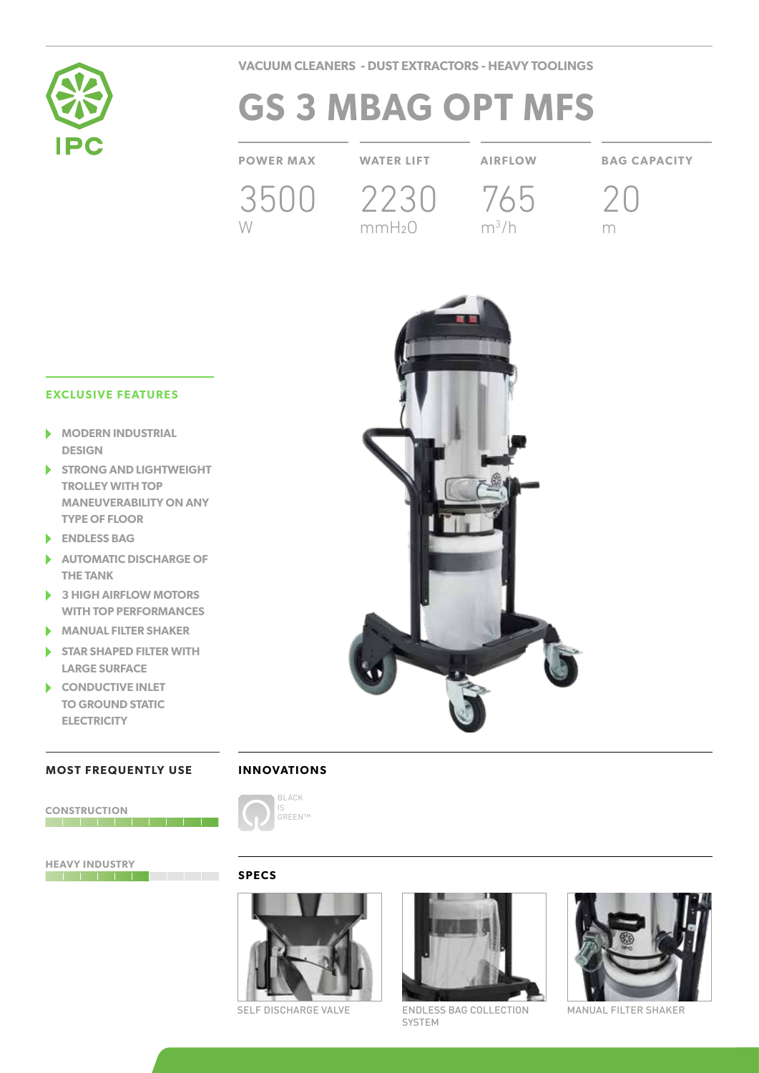

**VACUUM CLEANERS - DUST EXTRACTORS - HEAVY TOOLINGS**

# **GS 3 MBAG OPT MFS**

3500 2230 765 W

mmH2O

m3 /h

**POWER MAX WATER LIFT AIRFLOW BAG CAPACITY**

20 m

## **EXCLUSIVE FEATURES**

- **MODERN INDUSTRIAL DESIGN**
- **STRONG AND LIGHTWEIGHT TROLLEY WITH TOP MANEUVERABILITY ON ANY TYPE OF FLOOR**
- **ENDLESS BAG**
- **AUTOMATIC DISCHARGE OF THE TANK**
- **3 HIGH AIRFLOW MOTORS WITH TOP PERFORMANCES**
- **MANUAL FILTER SHAKER**
- **STAR SHAPED FILTER WITH LARGE SURFACE**
- **CONDUCTIVE INLET**  ь **TO GROUND STATIC ELECTRICITY**

### **MOST FREQUENTLY USE**



**HEAVY INDUSTRY**



**INNOVATIONS**

#### **SPECS**





SELF DISCHARGE VALVE ENDLESS BAG COLLECTION MANUAL FILTER SHAKER SYSTEM